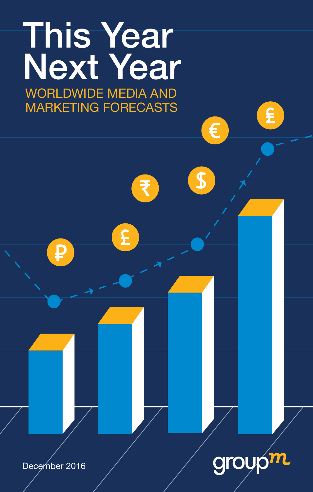

£

 $\mathbf{S}$ 

December 2016

₽

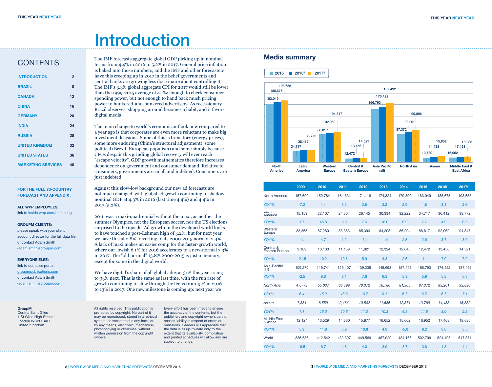# **Introduction**

### **CONTENTS**

| <b>INTRODUCTION</b>       | 2  |
|---------------------------|----|
| <b>BRAZIL</b>             | 8  |
| <b>CANADA</b>             | 12 |
| <b>CHINA</b>              | 16 |
| <b>GERMANY</b>            | 20 |
| <b>INDIA</b>              | 24 |
| <b>RUSSIA</b>             | 28 |
| <b>UNITED KINGDOM</b>     | 32 |
| <b>UNITED STATES</b>      | 36 |
| <b>MARKETING SERVICES</b> | 40 |

**FOR THE FULL 70-COUNTRY FORECAST AND APPENDIX :**

#### **ALL WPP EMPLOYEES:**

link to inside.wpp.com/marketing

#### **GROUPM CLIENTS:**

please speak with your client account director for the full data file or contact Adam Smith (adam.smith@groupm.com)

#### **EVERYONE ELSE:**

link to our sales portal groupmpublications.com or contact Adam Smith (adam.smith@groupm.com)

#### **GroupM** Central Saint Giles 1 St Giles High Street

London WC2H 8AR United Kingdom

The IMF forecasts aggregate global GDP picking up in nominal terms from 4.4% in 2016 to 5.2% in 2017. General price inflation is baked into those numbers, and the IMF and other forecasters have this creeping up in 2017 in the belief governments and central banks are growing less doctrinaire about controlling it. The IMF's 3.3% global aggregate CPI for 2017 would still be lower than the 1999-2015 average of 4.1%: enough to check consumer spending power, but not enough to hand back much pricing power to hunkered-and-bunkered advertisers. As recessionary Brazil observes, shopping around becomes a habit, and it favors digital media.

The main change to world's economic outlook now compared to a year ago is that corporates are even more reluctant to make big investment decisions. Some of this is transitory (energy prices), some more enduring (China's structural adjustment), some political (Brexit, European populism) and some simply because CFOs despair this grinding global recovery will ever reach "escape velocity". GDP growth mathematics therefore increases dependence on government and consumer demand. Relative to consumers, governments are small and indebted. Consumers are just indebted.

Against this slow-low background our new ad forecasts are not much changed, with global ad growth continuing to shadow nominal GDP at 4.3% in 2016 (last time 4.4%) and 4.4% in 2017 (5.2%).

2016 was a maxi-quadrennial without the maxi, as neither the summer Olympics, not the European soccer, nor the US elections surprised to the upside. Ad growth in the developed world looks to have touched a post-Lehman high of 3.2%, but for next year we have this at 2.8%, reverting to its 2000-2015 norm of 2.4%. A lack of maxi makes an easier comp for the faster-growth world, where our lowish 6.1% for 2016 accelerates to a new-normal 7.3% in 2017. The "old normal" 13.8% 2000-2015 is just a memory, except for some in the digital world.

We have digital's share of all global adex at 31% this year rising to 33% next. That is the same as last time, with the run rate of growth continuing to slow through the teens from 15% in 2016 to 13% in 2017. One new milestone is coming up: next year we

All rights reserved. This publication is protected by copyright. No part of it may be reproduced, stored in a retrieval system, or transmitted in any form, or by any means, electronic, mechanical, photocopying or otherwise, without written permission from the copyright owners.

Every effort has been made to ensure the accuracy of the contents, but the publishers and copyright owners cannot accept liability in respect of errors or omissions. Readers will appreciate that the data is as up-to-date only to the extent that its availability, compilation and printed schedules will allow and are subject to change.

#### **Media summary**



|                                    | 2009    | 2010    | 2011    | 2012    | 2013    | 2014    | 2015    | 2016f   | 2017f   |
|------------------------------------|---------|---------|---------|---------|---------|---------|---------|---------|---------|
| North America                      | 157,600 | 159.784 | 164.834 | 171.118 | 174.824 | 179.899 | 183.049 | 188.675 | 193.655 |
| YOY%                               | $-7.2$  | 1.4     | 3.2     | 3.8     | 2.2     | 2.9     | 1.8     | 3.1     | 2.6     |
| Latin<br>America                   | 15,159  | 22,107  | 24,304  | 26,145  | 30,334  | 32,222  | 34,717  | 36,412  | 38,772  |
| YOY%                               | 1.7     | 45.8    | 9.9     | 7.6     | 16.0    | 6.2     | 7.7     | 4.9     | 6.5     |
| Western<br>Europe                  | 83,365  | 87,280  | 88,363  | 85.393  | 84,203  | 86.294  | 88.817  | 92.062  | 94.847  |
| YOY%                               | $-11.1$ | 4.7     | 1.2     | $-3.4$  | $-1.4$  | 2.5     | 2.9     | 3.7     | 3.0     |
| Central &<br><b>Eastern Europe</b> | 9,169   | 10,100  | 11,159  | 11,821  | 12,324  | 12,645  | 12,472  | 13,456  | 14,521  |
| YOY%                               | $-21.5$ | 10.2    | 10.5    | 5.9     | 4.3     | 2.6     | $-1.4$  | 7.9     | 7.9     |
| Asia-Pacific<br>$(\text{all})$     | 109,270 | 119,741 | 129,407 | 139,235 | 148,693 | 157,445 | 166,793 | 176,422 | 187,492 |
| YOY%                               | $-2.5$  | 9.6     | 8.1     | 7.6     | 6.8     | 5.9     | 5.9     | 5.8     | 6.3     |
| <b>North Asia</b>                  | 47.773  | 55.037  | 63,599  | 70.372  | 76.780  | 81.905  | 87,372  | 93,261  | 99,896  |
| YOY%                               | 6.4     | 15.2    | 15.6    | 10.7    | 9.1     | 6.7     | 6.7     | 6.7     | 7.1     |
| Asean                              | 7,381   | 8,559   | 9,464   | 10,502  | 11,586  | 12,371  | 13,789  | 14,483  | 15,832  |
| YOY%                               | 7.1     | 16.0    | 10.6    | 11.0    | 10.3    | 6.8     | 11.5    | 5.0     | 9.3     |
| <b>Middle East</b><br>& Africa     | 12,124  | 13,529  | 14,330  | 15,877  | 16,652  | 15,662  | 16,952  | 17,468  | 18,085  |
| YOY%                               | 5.9     | 11.6    | 5.9     | 10.8    | 4.9     | $-5.9$  | 8.2     | 3.0     | 3.5     |
| World                              | 386,686 | 412,542 | 432.397 | 449.589 | 467.029 | 484,166 | 502.799 | 524,495 | 547.371 |
| YOY%                               | $-6.5$  | 6.7     | 4.8     | 4.0     | 3.9     | 3.7     | 3.8     | 4.3     | 4.4     |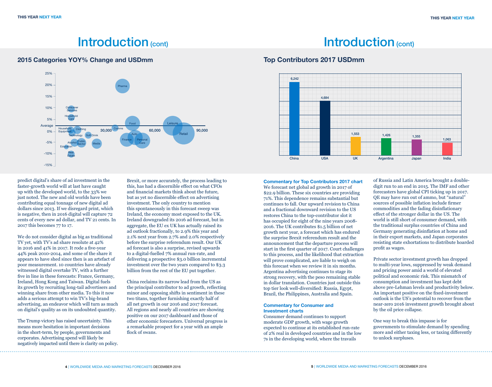## Introduction (cont) and introduction (cont)

#### **2015 Categories YOY% Change and USDmm Top Contributors 2017 USDmm**



predict digital's share of ad investment in the faster-growth world will at last have caught up with the developed world, to the 33% we just noted. The new and old worlds have been contributing equal tonnage of new digital ad dollars since 2013. If we disregard print, which is negative, then in 2016 digital will capture 72 cents of every new ad dollar, and TV 21 cents. In 2017 this becomes 77 to 17.

We do not consider digital as big as traditional TV yet, with TV's ad share resolute at 42% in 2016 and 41% in 2017. It rode a five-year 44% peak 2010-2014, and some of the share it appears to have shed since then is an artefact of poor measurement. 10 countries have already witnessed digital overtake TV, with a further five in line in these forecasts: France, Germany, Ireland, Hong Kong and Taiwan. Digital fuels its growth by recruiting long-tail advertisers and winning share from other media. To this it now adds a serious attempt to win TV's big-brand advertising, an endeavor which will turn as much on digital's quality as on its undoubted quantity.

The Trump victory has raised uncertainty. This means more hesitation in important decisions in the short-term, by people, governments and corporates. Advertising spend will likely be negatively impacted until there is clarity on policy. Brexit, or more accurately, the process leading to this, has had a discernible effect on what CFOs and financial markets think about the future, but as yet no discernible effect on advertising investment. The only country to mention this spontaneously in this forecast sweep was Ireland, the economy most exposed to the UK. Ireland downgraded its 2016 ad forecast, but in aggregate, the EU ex UK has actually raised its ad outlook fractionally, to 2.9% this year and 2.1% next year from 2.7% and 2.0% respectively before the surprise referendum result. Our UK ad forecast is also a surprise, revised upwards to a digital-fuelled 7% annual run-rate, and delivering a prospective \$3.0 billion incremental investment over the two years compared to \$3.3 billion from the rest of the EU put together.

China reclaims its narrow lead from the US as the principal contributor to ad growth, reflecting minor and opposing shifts in sentiment in these two titans, together furnishing exactly half of all net growth in our 2016 and 2017 forecast. All regions and nearly all countries are showing positive on our 2017 dashboard and those of other economic forecasters. Universal progress is a remarkable prospect for a year with an ample flock of swans.



#### **Commentary for Top Contributors 2017 chart**

We forecast net global ad growth in 2017 of \$22.9 billion. These six countries are providing 71%. This dependence remains substantial but continues to fall. Our upward revision to China and a fractional downward revision to the US restores China to the top-contributor slot it has occupied for eight of the nine years 2008- 2016. The UK contributes \$1.5 billion of net growth next year, a forecast which has endured the surprise Brexit referendum result and the announcement that the departure process will start in the first quarter of 2017. Court challenges to this process, and the likelihood that extraction will prove complicated, are liable to weigh on this forecast when we review it in six months. Argentina advertising continues to stage its strong recovery, with the peso remaining stable in dollar translation. Countries just outside this top tier look well-diversified: Russia, Egypt, Brazil, the Philippines, Australia and Spain.

#### **Commentary for Consumer and Investment charts**

Consumer demand continues to support moderate GDP growth, with wage growth expected to continue at its established run-rate of 2% real in developed countries and in the low 7s in the developing world, where the travails

of Russia and Latin America brought a doubledigit run to an end in 2015. The IMF and other forecasters have global CPI ticking up in 2017. QE may have run out of ammo, but "natural" sources of possible inflation include firmer commodities and the fading disinflationary effect of the stronger dollar in the US. The world is still short of consumer demand, with the traditional surplus countries of China and Germany generating disinflation at home and in their export markets, and Japan corporates resisting state exhortations to distribute hoarded profit as wages.

Private sector investment growth has dropped to multi-year lows, suppressed by weak demand and pricing power amid a world of elevated political and economic risk. This mismatch of consumption and investment has kept debt above pre-Lehman levels and productivity below. An important positive on the fixed-investment outlook is the US's potential to recover from the near-zero 2016 investment growth brought about by the oil price collapse.

One way to break this impasse is for governments to stimulate demand by spending more and either taxing less, or taxing differently to unlock surpluses.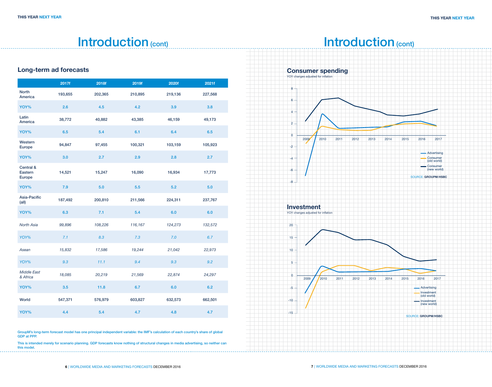## Introduction (cont)

### **Long-term ad forecasts**

|                                           | 2017f   | 2018f   | 2019f   | 2020f   | 2021f   |
|-------------------------------------------|---------|---------|---------|---------|---------|
| <b>North</b><br>America                   | 193,655 | 202,365 | 210,895 | 219,136 | 227,568 |
| YOY%                                      | 2.6     | 4.5     | 4.2     | 3.9     | 3.8     |
| Latin<br>America                          | 38,772  | 40,882  | 43,385  | 46,159  | 49,173  |
| YOY%                                      | 6.5     | 5.4     | 6.1     | 6.4     | 6.5     |
| Western<br>Europe                         | 94,847  | 97,455  | 100,321 | 103,159 | 105,923 |
| YOY%                                      | 3.0     | 2.7     | 2.9     | 2.8     | 2.7     |
| Central &<br>Eastern<br><b>Europe</b>     | 14,521  | 15,247  | 16,090  | 16,934  | 17,773  |
| YOY%                                      | 7.9     | 5.0     | 5.5     | 5.2     | 5.0     |
| Asia-Pacific<br>$\left(\text{all}\right)$ | 187,492 | 200,810 | 211,566 | 224,311 | 237,767 |
| YOY%                                      | 6.3     | 7.1     | 5.4     | 6.0     | 6.0     |
| <b>North Asia</b>                         | 99,896  | 108,226 | 116,167 | 124,273 | 132,572 |
| YOY%                                      | 7.1     | 8.3     | 7.3     | 7.0     | 6.7     |
| Asean                                     | 15,832  | 17,586  | 19,244  | 21,042  | 22,973  |
| YOY%                                      | 9.3     | 11.1    | 9.4     | 9.3     | 9.2     |
| <b>Middle East</b><br>& Africa            | 18,085  | 20,219  | 21,569  | 22,874  | 24,297  |
| YOY%                                      | 3.5     | 11.8    | 6.7     | 6.0     | 6.2     |
| World                                     | 547,371 | 576,979 | 603,827 | 632,573 | 662,501 |
| YOY%                                      | 4.4     | 5.4     | 4.7     | 4.8     | 4.7     |



This is intended merely for scenario planning. GDP forecasts know nothing of structural changes in media advertising, so neither can this model. . . . . . . . . . . .

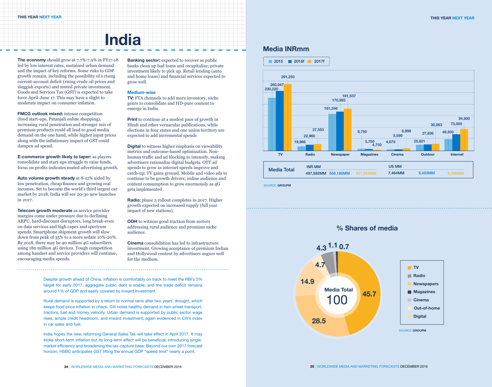# **India**

**The economy** should grow at 7.7%-7.9% in FY17-18 led by low interest rates, sustained urban demand and the impact of key reforms. Some risks to GDP growth remain, including the possibility of a rising current-account deficit (rising crude oil prices and sluggish exports) and muted private investment. Goods and Services Tax (GST) is expected to take force April-June 17. This may have a slight to moderate impact on consumer inflation.

**FMCG outlook mixed:** intense competition (food start-ups, Patanjali online shopping), increasing rural penetration and stronger mix of premium products could all lead to good media demand on the one hand, while higher input prices along with the inflationary impact of GST could dampen ad spend.

**E-commerce growth likely to taper:** as players consolidate and start-ups struggle to raise funds, focus on profits indicates muted advertising growth.

**Auto volume growth steady** at 8-12% aided by low penetration, cheap finance and growing real incomes. Set to become the world's third largest car market by 2018, India will see 20-30 new launches in 2017.

**Telecom growth moderate** as service provider margins come under pressure due to declining ARPU, hard-discount disruptors, long break-even on data services and high capex and spectrum spends. Smartphone shipment growth will slow down from peak of 35% to a more sedate 10%-20%. By 2018, there may be 90 million 4G subscribers using 180 million 4G devices. Tough competition among handset and service providers will continue, encouraging media spends.

**Banking sector:** expected to recover as public banks clean up bad loans and recapitalize; private investment likely to pick up. Retail lending (auto and home loans) and financial services expected to grow well.

#### **Medium-wise**

**TV:** FTA channels to add more inventory, niche genre to consolidate and HD-pure content to emerge in India.

**Print** to continue at a modest pace of growth in Hindi and other vernacular publications, while elections in four states and one union territory are expected to add incremental spends

**Digital** to witness higher emphasis on viewability metrics and outcome-based optimization. Nonhuman traffic and ad blocking to intensify, making advertisers rationalize digital budgets. OTT ad spends to grow as internet speeds improve and catch-up; TV gains ground. Mobile and video ads to continue to be growth drivers; online audience and content consumption to grow enormously as 4G gets implemented .

**Radio:** phase 3 rollout completes in 2017. Higher growth expected on increased supply (full year impact of new stations).

**OOH** to witness good traction from sectors addressing rural audience and premium niche audience.

**Cinema** consolidation has led to infrastructure investment. Growing acceptance of premium Indian and Hollywood content by advertisers augurs well for the medium.

Despite growth ahead of China, inflation is comfortably on track to meet the RBI's 5% target for early 2017, aggregate public debt is stable, and the trade deficit remains around 1% of GDP and easily covered by inward investment.

Rural demand is supported by a return to normal rains after two years' drought, which keeps food price inflation in check. Citi notes healthy demand in two-wheel transport, tractors, fuel and money velocity. Urban demand is supported by public sector wage rises, ample credit headroom, and inward investment, again evidenced in Citi's index in car sales and fuel.

India hopes the new, reforming General Sales Tax will take effect in April 2017. It may stoke short-term inflation but its long-term effect will be beneficial, introducing singlemarket efficiency and broadening the tax-capture base. Beyond our own 2017 forecast horizon, HSBC anticipates GST lifting the annual GDP "speed limit" nearly a point.



SOURCE: **GROUPM**



**% Shares of media**